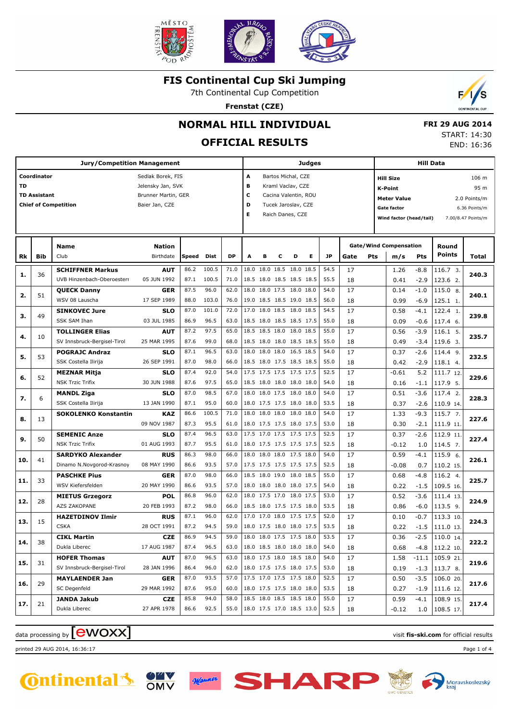

7th Continental Cup Competition

**Frenstat (CZE)**



## **NORMAL HILL INDIVIDUAL**

## **OFFICIAL RESULTS**

 **FRI 29 AUG 2014** START: 14:30 END: 16:36

|     |                                    | <b>Jury/Competition Management</b>                    |                                                                                 |              |                |              |                                                      |                                                      |   |                                                                                                            | Judges |              |          |     | <b>Hill Data</b>                                                                                   |                  |                                         |                                                                      |  |
|-----|------------------------------------|-------------------------------------------------------|---------------------------------------------------------------------------------|--------------|----------------|--------------|------------------------------------------------------|------------------------------------------------------|---|------------------------------------------------------------------------------------------------------------|--------|--------------|----------|-----|----------------------------------------------------------------------------------------------------|------------------|-----------------------------------------|----------------------------------------------------------------------|--|
| TD  | Coordinator<br><b>TD Assistant</b> | <b>Chief of Competition</b>                           | Sedlak Borek, FIS<br>Jelensky Jan, SVK<br>Brunner Martin, GER<br>Baier Jan, CZE |              |                |              | A<br>в<br>С<br>D<br>Е                                |                                                      |   | Bartos Michal, CZE<br>Kraml Vaclav, CZE<br>Cacina Valentin, ROU<br>Tucek Jaroslav, CZE<br>Raich Danes, CZE |        |              |          |     | <b>Hill Size</b><br><b>K-Point</b><br><b>Meter Value</b><br>Gate factor<br>Wind factor (head/tail) |                  |                                         | 106 m<br>95 m<br>2.0 Points/m<br>6.36 Points/m<br>7.00/8.47 Points/m |  |
| Rk  | Bib                                | Name<br>Club                                          | <b>Nation</b><br>Birthdate                                                      | Speed        | Dist           | DP           | A                                                    | в                                                    | c | D                                                                                                          | Е      | <b>JP</b>    | Gate     | Pts | <b>Gate/Wind Compensation</b><br>m/s                                                               | Pts              | Round<br><b>Points</b>                  | Total                                                                |  |
| 1.  | 36                                 | <b>SCHIFFNER Markus</b><br>UVB Hinzenbach-Oberoesterr | <b>AUT</b><br>05 JUN 1992                                                       | 86.2<br>87.1 | 100.5<br>100.5 | 71.0<br>71.0 | 18.0                                                 | 18.0 18.5 18.0 18.5<br>18.5 18.0 18.5 18.5 18.5      |   |                                                                                                            |        | 54.5<br>55.5 | 17<br>18 |     | 1.26<br>0.41                                                                                       | $-8.8$<br>$-2.9$ | 116.7 3.<br>123.6 2.                    | 240.3                                                                |  |
| 2.  | 51                                 | <b>QUECK Danny</b><br>WSV 08 Lauscha                  | <b>GER</b><br>17 SEP 1989                                                       | 87.5<br>88.0 | 96.0<br>103.0  | 62.0<br>76.0 |                                                      | 18.0 18.0 17.5 18.0 18.0<br>19.0 18.5 18.5 19.0 18.5 |   |                                                                                                            |        | 54.0<br>56.0 | 17<br>18 |     | 0.14<br>0.99                                                                                       | $-1.0$<br>$-6.9$ | 115.0 8.<br>125.1 1.                    | 240.1                                                                |  |
| з.  | 49                                 | <b>SINKOVEC Jure</b>                                  | <b>SLO</b>                                                                      | 87.0<br>86.9 | 101.0          | 72.0         |                                                      | 17.0 18.0 18.5 18.0 18.5<br>18.5 18.0 18.5 18.5 17.5 |   |                                                                                                            |        | 54.5         | 17       |     | 0.58                                                                                               | $-4.1$           | 122.4 1.                                | 239.8                                                                |  |
| 4.  | 10                                 | SSK SAM Ihan<br><b>TOLLINGER Elias</b>                | 03 JUL 1985<br><b>AUT</b>                                                       | 87.2         | 96.5<br>97.5   | 63.0<br>65.0 |                                                      | 18.5 18.5 18.0 18.0 18.5                             |   |                                                                                                            |        | 55.0<br>55.0 | 18<br>17 |     | 0.09<br>0.56                                                                                       | $-0.6$<br>$-3.9$ | 117.4 6.<br>116.1 5.                    | 235.7                                                                |  |
| 5.  | 53                                 | SV Innsbruck-Bergisel-Tirol<br><b>POGRAJC Andraz</b>  | 25 MAR 1995<br><b>SLO</b>                                                       | 87.6<br>87.1 | 99.0<br>96.5   | 68.0<br>63.0 |                                                      | 18.5 18.0 18.0 18.5 18.5<br>18.0 18.0 18.0 16.5 18.5 |   |                                                                                                            |        | 55.0<br>54.0 | 18<br>17 |     | 0.49<br>0.37                                                                                       | $-3.4$<br>$-2.6$ | 119.6 3.<br>114.4 9.                    | 232.5                                                                |  |
| 6.  | 52                                 | SSK Costella Ilirija<br><b>MEZNAR Mitja</b>           | 26 SEP 1991<br><b>SLO</b>                                                       | 87.0<br>87.4 | 98.0<br>92.0   | 66.0<br>54.0 |                                                      | 18.5 18.0 17.5 18.5 18.5<br>17.5 17.5 17.5 17.5 17.5 |   |                                                                                                            |        | 55.0<br>52.5 | 18<br>17 |     | 0.42<br>$-0.61$                                                                                    | $-2.9$<br>5.2    | 118.1 4.<br>111.7 12.                   | 229.6                                                                |  |
|     |                                    | <b>NSK Trzic Trifix</b><br><b>MANDL Ziga</b>          | 30 JUN 1988<br><b>SLO</b>                                                       | 87.6<br>87.0 | 97.5<br>98.5   | 65.0<br>67.0 |                                                      | 18.5 18.0 18.0 18.0 18.0<br>18.0 18.0 17.5 18.0 18.0 |   |                                                                                                            |        | 54.0<br>54.0 | 18<br>17 |     | 0.16<br>0.51                                                                                       | $-1.1$<br>$-3.6$ | 117.9 5.<br>117.4 2.                    |                                                                      |  |
| 7.  | 6                                  | SSK Costella Ilirija<br><b>SOKOLENKO Konstantin</b>   | 13 JAN 1990<br><b>KAZ</b>                                                       | 87.1<br>86.6 | 95.0<br>100.5  | 60.0<br>71.0 |                                                      | 18.0 17.5 17.5 18.0 18.0<br>18.0 18.0 18.0 18.0 18.0 |   |                                                                                                            |        | 53.5<br>54.0 | 18<br>17 |     | 0.37<br>1.33                                                                                       | $-2.6$<br>$-9.3$ | 110.9 14.<br>115.7 7.                   | 228.3                                                                |  |
| 8.  | 13                                 | <b>SEMENIC Anze</b>                                   | 09 NOV 1987<br><b>SLO</b>                                                       | 87.3<br>87.4 | 95.5<br>96.5   | 61.0<br>63.0 |                                                      | 18.0 17.5 17.5 18.0 17.5<br>17.5 17.0 17.5 17.5 17.5 |   |                                                                                                            |        | 53.0<br>52.5 | 18<br>17 |     | 0.30<br>0.37                                                                                       | $-2.1$<br>$-2.6$ | 111.9 11<br>112.9 11.                   | 227.6                                                                |  |
| 9.  | 50                                 | <b>NSK Trzic Trifix</b>                               | 01 AUG 1993                                                                     | 87.7         | 95.5           | 61.0         |                                                      | 18.0 17.5 17.5 17.5 17.5                             |   |                                                                                                            |        | 52.5         | 18       |     | $-0.12$                                                                                            | 1.0              | 114.5 7.                                | 227.4                                                                |  |
| 10. | 41                                 | <b>SARDYKO Alexander</b><br>Dinamo N.Novgorod-Krasnoy | <b>RUS</b><br>08 MAY 1990                                                       | 86.3<br>86.6 | 98.0<br>93.5   | 66.0<br>57.0 |                                                      | 18.0 18.0 18.0 17.5 18.0<br>17.5 17.5 17.5 17.5 17.5 |   |                                                                                                            |        | 54.0<br>52.5 | 17<br>18 |     | 0.59<br>$-0.08$                                                                                    | $-4.1$<br>0.7    | 115.9 6.<br>110.2 15.                   | 226.1                                                                |  |
| 11. | 33                                 | <b>PASCHKE Pius</b><br>WSV Kiefersfelden              | <b>GER</b><br>20 MAY 1990                                                       | 87.0<br>86.6 | 98.0<br>93.5   | 66.0<br>57.0 |                                                      | 18.5 18.0 19.0 18.0 18.5<br>18.0 18.0 18.0 18.0 17.5 |   |                                                                                                            |        | 55.0<br>54.0 | 17<br>18 |     | 0.68<br>0.22                                                                                       | $-4.8$<br>$-1.5$ | 116.2 4.<br>109.5 16.                   | 225.7                                                                |  |
| 12. | 28                                 | <b>MIETUS Grzegorz</b><br>AZS ZAKOPANE                | <b>POL</b><br>20 FEB 1993                                                       | 86.8<br>87.2 | 96.0<br>98.0   | 62.0<br>66.0 |                                                      | 18.0 17.5 17.0 18.0 17.5<br>18.5 18.0 17.5 17.5 18.0 |   |                                                                                                            |        | 53.0<br>53.5 | 17<br>18 |     | 0.52<br>0.86                                                                                       | $-3.6$<br>$-6.0$ | 111.4 13.<br>113.5 9.                   | 224.9                                                                |  |
| 13. | 15                                 | <b>HAZETDINOV Ilmir</b><br><b>CSKA</b>                | <b>RUS</b><br>28 OCT 1991                                                       | 87.1<br>87.2 | 96.0<br>94.5   | 62.0<br>59.0 |                                                      | 17.0 17.0 18.0 17.5 17.5<br>18.0 17.5 18.0 18.0 17.5 |   |                                                                                                            |        | 52.0<br>53.5 | 17<br>18 |     | 0.10<br>0.22                                                                                       | $-0.7$<br>$-1.5$ | 113.3 10.<br>111.0 13.                  | 224.3                                                                |  |
| 14. | 38                                 | <b>CIKL Martin</b><br>Dukla Liberec                   | <b>CZE</b><br>17 AUG 1987                                                       | 86.9<br>87.4 | 94.5<br>96.5   | 59.0<br>63.0 | 18.0 18.0 17.5 17.5 18.0<br>18.0 18.5 18.0 18.0 18.0 |                                                      |   |                                                                                                            |        | 53.5<br>54.0 | 17       |     | 0.36                                                                                               | $-2.5$           | $110.0$ 14.                             | 222.2                                                                |  |
| 15. | 31                                 | <b>HOFER Thomas</b>                                   | <b>AUT</b>                                                                      | 87.0         | 96.5           | 63.0         | 18.0 17.5 18.0 18.5 18.0                             |                                                      |   |                                                                                                            |        | 54.0         | 18<br>17 |     | 0.68<br>1.58                                                                                       |                  | $-4.8$   112.2 10.<br>$-11.1$ 105.9 21. | 219.6                                                                |  |
| 16. | 29                                 | SV Innsbruck-Bergisel-Tirol<br><b>MAYLAENDER Jan</b>  | 28 JAN 1996<br><b>GER</b>                                                       | 86.4<br>87.0 | 96.0<br>93.5   | 62.0<br>57.0 | 18.0 17.5 17.5 18.0 17.5<br>17.5 17.0 17.5 17.5 18.0 |                                                      |   |                                                                                                            |        | 53.0<br>52.5 | 18<br>17 |     | 0.19<br>0.50                                                                                       | $-3.5$           | $-1.3$   113.7 8.<br>106.0 20.          | 217.6                                                                |  |
|     |                                    | SC Degenfeld<br>JANDA Jakub                           | 29 MAR 1992<br><b>CZE</b>                                                       | 87.6<br>85.8 | 95.0<br>94.0   | 60.0<br>58.0 | 18.0 17.5 17.5 18.0 18.0                             | 18.5 18.0 18.5 18.5 18.0                             |   |                                                                                                            |        | 53.5<br>55.0 | 18<br>17 |     | 0.27<br>0.59                                                                                       | -4.1             | $-1.9$   111.6 12.<br>108.9 15.         |                                                                      |  |
| 17. | 21                                 | Dukla Liberec                                         | 27 APR 1978                                                                     | 86.6         | 92.5           | 55.0         | 18.0 17.5 17.0 18.5 13.0                             |                                                      |   |                                                                                                            |        | 52.5         | 18       |     | $-0.12$                                                                                            |                  | $1.0$   108.5 17.                       | 217.4                                                                |  |

# data processing by **CWOXX** and  $\blacksquare$  and  $\blacksquare$  and  $\blacksquare$  and  $\blacksquare$  and  $\blacksquare$  and  $\blacksquare$  and  $\blacksquare$  and  $\blacksquare$  and  $\blacksquare$  and  $\blacksquare$  and  $\blacksquare$  and  $\blacksquare$  and  $\blacksquare$  and  $\blacksquare$  and  $\blacksquare$  and  $\blacksquare$  and  $\blacksquare$  and  $\blacks$

printed 29 AUG 2014, 16:36:17 Page 1 of 4







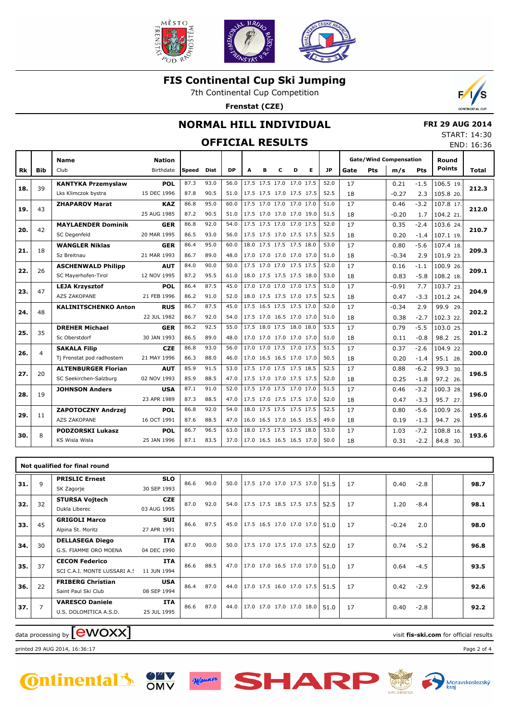

7th Continental Cup Competition

**Frenstat (CZE)**



### **NORMAL HILL INDIVIDUAL**

## **OFFICIAL RESULTS**

 **FRI 29 AUG 2014** START: 14:30 END: 16:36

|           |            |                             |                                   |       |      |           |   |   |                          |   |                          |           |      |            |                                      |        |                        | END. 10.3    |
|-----------|------------|-----------------------------|-----------------------------------|-------|------|-----------|---|---|--------------------------|---|--------------------------|-----------|------|------------|--------------------------------------|--------|------------------------|--------------|
| <b>Rk</b> | <b>Bib</b> | <b>Name</b><br>Club         | <b>Nation</b><br><b>Birthdate</b> | Speed | Dist | <b>DP</b> | A | в | c                        | D | Е                        | <b>JP</b> | Gate | <b>Pts</b> | <b>Gate/Wind Compensation</b><br>m/s | Pts    | Round<br><b>Points</b> | <b>Total</b> |
|           |            | <b>KANTYKA Przemyslaw</b>   | POL                               | 87.3  | 93.0 | 56.0      |   |   | 17.5 17.5 17.0 17.0 17.5 |   |                          | 52.0      | 17   |            | 0.21                                 | $-1.5$ | 106.5 19.              |              |
| 18.       | 39         | Lks Klimczok bystra         | 15 DEC 1996                       | 87.8  | 90.5 | 51.0      |   |   |                          |   | 17.5 17.5 17.0 17.5 17.5 | 52.5      | 18   |            | $-0.27$                              | 2.3    | 105.8 20.              | 212.3        |
|           |            | <b>ZHAPAROV Marat</b>       | <b>KAZ</b>                        | 86.8  | 95.0 | 60.0      |   |   | 17.5 17.0 17.0 17.0 17.0 |   |                          | 51.0      | 17   |            | 0.46                                 | $-3.2$ | 107.8 17.              |              |
| 19.       | 43         |                             | 25 AUG 1985                       | 87.2  | 90.5 | 51.0      |   |   |                          |   | 17.5 17.0 17.0 17.0 19.0 | 51.5      | 18   |            | $-0.20$                              | 1.7    | 104.2 21.              | 212.0        |
|           | 42         | <b>MAYLAENDER Dominik</b>   | GER                               | 86.8  | 92.0 | 54.0      |   |   | 17.5 17.5 17.0 17.0 17.5 |   |                          | 52.0      | 17   |            | 0.35                                 | $-2.4$ | 103.6 24.              | 210.7        |
| 20.       |            | SC Degenfeld                | 20 MAR 1995                       | 86.5  | 93.0 | 56.0      |   |   | 17.5 17.5 17.0 17.5 17.5 |   |                          | 52.5      | 18   |            | 0.20                                 | $-1.4$ | 107.1 19.              |              |
| 21.       | 18         | <b>WANGLER Niklas</b>       | <b>GER</b>                        | 86.4  | 95.0 | 60.0      |   |   | 18.0 17.5 17.5 17.5 18.0 |   |                          | 53.0      | 17   |            | 0.80                                 | $-5.6$ | 107.4 18.              | 209.3        |
|           |            | Sz Breitnau                 | 21 MAR 1993                       | 86.7  | 89.0 | 48.0      |   |   |                          |   | 17.0 17.0 17.0 17.0 17.0 | 51.0      | 18   |            | $-0.34$                              | 2.9    | 101.9 23.              |              |
| 22.       | 26         | <b>ASCHENWALD Philipp</b>   | <b>AUT</b>                        | 84.0  | 90.0 | 50.0      |   |   | 17.5 17.0 17.0 17.5 17.5 |   |                          | 52.0      | 17   |            | 0.16                                 | $-1.1$ | 100.9 26.              | 209.1        |
|           |            | SC Mayerhofen-Tirol         | 12 NOV 1995                       | 87.2  | 95.5 | 61.0      |   |   | 18.0 17.5 17.5 17.5 18.0 |   |                          | 53.0      | 18   |            | 0.83                                 | $-5.8$ | 108.2 18.              |              |
| 23.       | 47         | <b>LEJA Krzysztof</b>       | <b>POL</b>                        | 86.4  | 87.5 | 45.0      |   |   | 17.0 17.0 17.0 17.0 17.5 |   |                          | 51.0      | 17   |            | $-0.91$                              | 7.7    | 103.7 23.              | 204.9        |
|           |            | AZS ZAKOPANE                | 21 FEB 1996                       | 86.2  | 91.0 | 52.0      |   |   |                          |   | 18.0 17.5 17.5 17.0 17.5 | 52.5      | 18   |            | 0.47                                 | $-3.3$ | 101.2 24.              |              |
| 24.       | 48         | <b>KALINITSCHENKO Anton</b> | <b>RUS</b>                        | 86.7  | 87.5 | 45.0      |   |   | 17.5 16.5 17.5 17.5 17.0 |   |                          | 52.0      | 17   |            | $-0.34$                              | 2.9    | 99.9 29.               | 202.2        |
|           |            |                             | 22 JUL 1982                       | 86.7  | 92.0 | 54.0      |   |   | 17.5 17.0 16.5 17.0 17.0 |   |                          | 51.0      | 18   |            | 0.38                                 | $-2.7$ | 102.3 22.              |              |
| 25.       | 35         | <b>DREHER Michael</b>       | <b>GER</b>                        | 86.2  | 92.5 | 55.0      |   |   | 17.5 18.0 17.5 18.0 18.0 |   |                          | 53.5      | 17   |            | 0.79                                 | $-5.5$ | 103.0 25.              | 201.2        |
|           |            | Sc Oberstdorf               | 30 JAN 1993                       | 86.5  | 89.0 | 48.0      |   |   |                          |   | 17.0 17.0 17.0 17.0 17.0 | 51.0      | 18   |            | 0.11                                 | $-0.8$ | 98.2 25.               |              |
| 26.       | 4          | <b>SAKALA Filip</b>         | <b>CZE</b>                        | 86.8  | 93.0 | 56.0      |   |   | 17.0 17.0 17.5 17.0 17.5 |   |                          | 51.5      | 17   |            | 0.37                                 | $-2.6$ | 104.9 22.              | 200.0        |
|           |            | Tj Frenstat pod radhostem   | 21 MAY 1996                       | 86.3  | 88.0 | 46.0      |   |   |                          |   | 17.0 16.5 16.5 17.0 17.0 | 50.5      | 18   |            | 0.20                                 | $-1.4$ | 95.1 28.               |              |
| 27.       | 20         | <b>ALTENBURGER Florian</b>  | <b>AUT</b>                        | 85.9  | 91.5 | 53.0      |   |   | 17.5 17.0 17.5 17.5 18.5 |   |                          | 52.5      | 17   |            | 0.88                                 | $-6.2$ | 99.3 30.               | 196.5        |
|           |            | SC Seekirchen-Salzburg      | 02 NOV 1993                       | 85.9  | 88.5 | 47.0      |   |   |                          |   | 17.5 17.0 17.0 17.5 17.5 | 52.0      | 18   |            | 0.25                                 | $-1.8$ | 97.2 26.               |              |
| 28.       | 19         | <b>JOHNSON Anders</b>       | <b>USA</b>                        | 87.1  | 91.0 | 52.0      |   |   | 17.5 17.0 17.5 17.0 17.0 |   |                          | 51.5      | 17   |            | 0.46                                 | $-3.2$ | 100.3 28.              | 196.0        |
|           |            |                             | 23 APR 1989                       | 87.3  | 88.5 | 47.0      |   |   | 17.5 17.0 17.5 17.5 17.0 |   |                          | 52.0      | 18   |            | 0.47                                 | $-3.3$ | 95.7 27.               |              |
| 29.       | 11         | <b>ZAPOTOCZNY Andrzei</b>   | POL                               | 86.8  | 92.0 | 54.0      |   |   | 18.0 17.5 17.5 17.5 17.5 |   |                          | 52.5      | 17   |            | 0.80                                 | $-5.6$ | 100.9 26.              | 195.6        |
|           |            | <b>AZS ZAKOPANE</b>         | 16 OCT 1991                       | 87.6  | 88.5 | 47.0      |   |   |                          |   | 16.0 16.5 17.0 16.5 15.5 | 49.0      | 18   |            | 0.19                                 | $-1.3$ | 94.7 29.               |              |
| 30.       | 8          | <b>PODZORSKI Lukasz</b>     | <b>POL</b>                        | 86.7  | 96.5 | 63.0      |   |   | 18.0 17.5 17.5 17.5 18.0 |   |                          | 53.0      | 17   |            | 1.03                                 | $-7.2$ | 108.8 16.              | 193.6        |
|           |            | KS Wisla Wisla              | 25 JAN 1996                       | 87.1  | 83.5 | 37.0      |   |   |                          |   | 17.0 16.5 16.5 16.5 17.0 | 50.0      | 18   |            | 0.31                                 | $-2.2$ | 84.8 30.               |              |
|           |            |                             |                                   |       |      |           |   |   |                          |   |                          |           |      |            |                                      |        |                        |              |

|     |                | Not qualified for final round                         |                           |      |      |      |                          |  |      |    |         |        |      |
|-----|----------------|-------------------------------------------------------|---------------------------|------|------|------|--------------------------|--|------|----|---------|--------|------|
| 31. | 9              | <b>PRISLIC Ernest</b><br>SK Zagorje                   | <b>SLO</b><br>30 SEP 1993 | 86.6 | 90.0 | 50.0 | 17.5 17.0 17.0 17.5 17.0 |  | 51.5 | 17 | 0.40    | $-2.8$ | 98.7 |
| 32. | 32             | <b>STURSA Vojtech</b><br>Dukla Liberec                | <b>CZE</b><br>03 AUG 1995 | 87.0 | 92.0 | 54.0 | 17.5 17.5 18.5 17.5 17.5 |  | 52.5 | 17 | 1.20    | $-8.4$ | 98.1 |
| 33. | 45             | <b>GRIGOLI Marco</b><br>Alpina St. Moritz             | <b>SUI</b><br>27 APR 1991 | 86.6 | 87.5 | 45.0 | 17.5 16.5 17.0 17.0 17.0 |  | 51.0 | 17 | $-0.24$ | 2.0    | 98.0 |
| 34. | 30             | <b>DELLASEGA Diego</b><br>G.S. FIAMME ORO MOENA       | <b>ITA</b><br>04 DEC 1990 | 87.0 | 90.0 | 50.0 | 17.5 17.0 17.5 17.0 17.5 |  | 52.0 | 17 | 0.74    | $-5.2$ | 96.8 |
| 35. | 37             | <b>CECON Federico</b><br>SCI C.A.I. MONTE LUSSARI A.S | <b>ITA</b><br>11 JUN 1994 | 86.6 | 88.5 | 47.0 | 17.0 17.0 16.5 17.0 17.0 |  | 51.0 | 17 | 0.64    | $-4.5$ | 93.5 |
| 36. | 22             | <b>FRIBERG Christian</b><br>Saint Paul Ski Club       | <b>USA</b><br>08 SEP 1994 | 86.4 | 87.0 | 44.0 | 17.0 17.5 16.0 17.0 17.5 |  | 51.5 | 17 | 0.42    | $-2.9$ | 92.6 |
| 37. | $\overline{7}$ | <b>VARESCO Daniele</b><br>U.S. DOLOMITICA A.S.D.      | ITA<br>25 JUL 1995        | 86.6 | 87.0 | 44.0 | 17.0 17.0 17.0 17.0 18.0 |  | 51.0 | 17 | 0.40    | $-2.8$ | 92.2 |

# data processing by **CWOXX** and  $\blacksquare$  and  $\blacksquare$  and  $\blacksquare$  and  $\blacksquare$  and  $\blacksquare$  and  $\blacksquare$  and  $\blacksquare$  and  $\blacksquare$  and  $\blacksquare$  and  $\blacksquare$  and  $\blacksquare$  and  $\blacksquare$  and  $\blacksquare$  and  $\blacksquare$  and  $\blacksquare$  and  $\blacksquare$  and  $\blacksquare$  and  $\blacks$

printed 29 AUG 2014, 16:36:17 Page 2 of 4







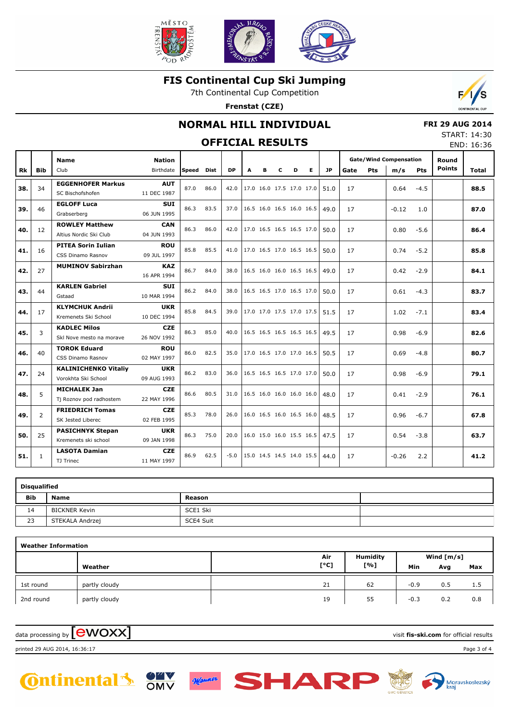

7th Continental Cup Competition

**Frenstat (CZE)**



### **NORMAL HILL INDIVIDUAL**

## **OFFICIAL RESULTS**

 **FRI 29 AUG 2014** START: 14:30

|           |                |                                                    |                            |       |      | <b>OFFICIAL RESULTS</b> |   |                          |   |   |   |           |      |            |                                      |            |                        | END: 16:36 |
|-----------|----------------|----------------------------------------------------|----------------------------|-------|------|-------------------------|---|--------------------------|---|---|---|-----------|------|------------|--------------------------------------|------------|------------------------|------------|
| <b>Rk</b> | <b>Bib</b>     | <b>Name</b><br>Club                                | <b>Nation</b><br>Birthdate | Speed | Dist | <b>DP</b>               | A | в                        | c | D | Е | <b>JP</b> | Gate | <b>Pts</b> | <b>Gate/Wind Compensation</b><br>m/s | <b>Pts</b> | Round<br><b>Points</b> | Total      |
| 38.       | 34             | <b>EGGENHOFER Markus</b><br>SC Bischofshofen       | <b>AUT</b><br>11 DEC 1987  | 87.0  | 86.0 | 42.0                    |   | 17.0 16.0 17.5 17.0 17.0 |   |   |   | 51.0      | 17   |            | 0.64                                 | $-4.5$     |                        | 88.5       |
| 39.       | 46             | <b>EGLOFF Luca</b><br>Grabserberg                  | <b>SUI</b><br>06 JUN 1995  | 86.3  | 83.5 | 37.0                    |   | 16.5 16.0 16.5 16.0 16.5 |   |   |   | 49.0      | 17   |            | $-0.12$                              | 1.0        |                        | 87.0       |
| 40.       | 12             | <b>ROWLEY Matthew</b><br>Altius Nordic Ski Club    | <b>CAN</b><br>04 JUN 1993  | 86.3  | 86.0 | 42.0                    |   | 17.0 16.5 16.5 16.5 17.0 |   |   |   | 50.0      | 17   |            | 0.80                                 | $-5.6$     |                        | 86.4       |
| 41.       | 16             | <b>PITEA Sorin Iulian</b><br>CSS Dinamo Rasnov     | <b>ROU</b><br>09 JUL 1997  | 85.8  | 85.5 | 41.0                    |   | 17.0 16.5 17.0 16.5 16.5 |   |   |   | 50.0      | 17   |            | 0.74                                 | $-5.2$     |                        | 85.8       |
| 42.       | 27             | <b>MUMINOV Sabirzhan</b>                           | <b>KAZ</b><br>16 APR 1994  | 86.7  | 84.0 | 38.0                    |   | 16.5 16.0 16.0 16.5 16.5 |   |   |   | 49.0      | 17   |            | 0.42                                 | $-2.9$     |                        | 84.1       |
| 43.       | 44             | <b>KARLEN Gabriel</b><br>Gstaad                    | <b>SUI</b><br>10 MAR 1994  | 86.2  | 84.0 | 38.0                    |   | 16.5 16.5 17.0 16.5 17.0 |   |   |   | 50.0      | 17   |            | 0.61                                 | $-4.3$     |                        | 83.7       |
| 44.       | 17             | <b>KLYMCHUK Andrii</b><br>Kremenets Ski School     | <b>UKR</b><br>10 DEC 1994  | 85.8  | 84.5 | 39.0                    |   | 17.0 17.0 17.5 17.0 17.5 |   |   |   | 51.5      | 17   |            | 1.02                                 | $-7.1$     |                        | 83.4       |
| 45.       | 3              | <b>KADLEC Milos</b><br>Skl Nove mesto na morave    | <b>CZE</b><br>26 NOV 1992  | 86.3  | 85.0 | 40.0                    |   | 16.5 16.5 16.5 16.5 16.5 |   |   |   | 49.5      | 17   |            | 0.98                                 | $-6.9$     |                        | 82.6       |
| 46.       | 40             | <b>TOROK Eduard</b><br>CSS Dinamo Rasnov           | <b>ROU</b><br>02 MAY 1997  | 86.0  | 82.5 | 35.0                    |   | 17.0 16.5 17.0 17.0 16.5 |   |   |   | 50.5      | 17   |            | 0.69                                 | $-4.8$     |                        | 80.7       |
| 47.       | 24             | <b>KALINICHENKO Vitaliy</b><br>Vorokhta Ski School | <b>UKR</b><br>09 AUG 1993  | 86.2  | 83.0 | 36.0                    |   | 16.5 16.5 16.5 17.0 17.0 |   |   |   | 50.0      | 17   |            | 0.98                                 | $-6.9$     |                        | 79.1       |
| 48.       | 5              | <b>MICHALEK Jan</b><br>Tj Roznov pod radhostem     | <b>CZE</b><br>22 MAY 1996  | 86.6  | 80.5 | 31.0                    |   | 16.5 16.0 16.0 16.0 16.0 |   |   |   | 48.0      | 17   |            | 0.41                                 | $-2.9$     |                        | 76.1       |
| 49.       | $\overline{2}$ | <b>FRIEDRICH Tomas</b><br>SK Jested Liberec        | <b>CZE</b><br>02 FEB 1995  | 85.3  | 78.0 | 26.0                    |   | 16.0 16.5 16.0 16.5 16.0 |   |   |   | 48.5      | 17   |            | 0.96                                 | $-6.7$     |                        | 67.8       |
| 50.       | 25             | <b>PASICHNYK Stepan</b><br>Kremenets ski school    | <b>UKR</b><br>09 JAN 1998  | 86.3  | 75.0 | 20.0                    |   | 16.0 15.0 16.0 15.5 16.5 |   |   |   | 47.5      | 17   |            | 0.54                                 | $-3.8$     |                        | 63.7       |
| 51.       | $\mathbf{1}$   | <b>LASOTA Damian</b><br>TJ Trinec                  | <b>CZE</b><br>11 MAY 1997  | 86.9  | 62.5 | $-5.0$                  |   | 15.0 14.5 14.5 14.0 15.5 |   |   |   | 44.0      | 17   |            | $-0.26$                              | 2.2        |                        | 41.2       |
|           |                |                                                    |                            |       |      |                         |   |                          |   |   |   |           |      |            |                                      |            |                        |            |

| <b>Disqualified</b> |                 |           |  |
|---------------------|-----------------|-----------|--|
| <b>Bib</b>          | <b>Name</b>     | Reason    |  |
| 14                  | BICKNER Kevin   | SCE1 Ski  |  |
| 23                  | STEKALA Andrzej | SCE4 Suit |  |

| <b>Weather Information</b> |               |      |                 |        |              |     |
|----------------------------|---------------|------|-----------------|--------|--------------|-----|
|                            |               | Air  | <b>Humidity</b> |        | Wind $[m/s]$ |     |
|                            | Weather       | [°C] | [%]             | Min    | Avg          | Max |
| 1st round                  | partly cloudy | 21   | 62              | $-0.9$ | 0.5          | 1.5 |
| 2nd round                  | partly cloudy | 19   | 55              | $-0.3$ | 0.2          | 0.8 |

data processing by **CWOXX** and the set of the visit **fis-ski.com** for official results



printed 29 AUG 2014, 16:36:17 Page 3 of 4